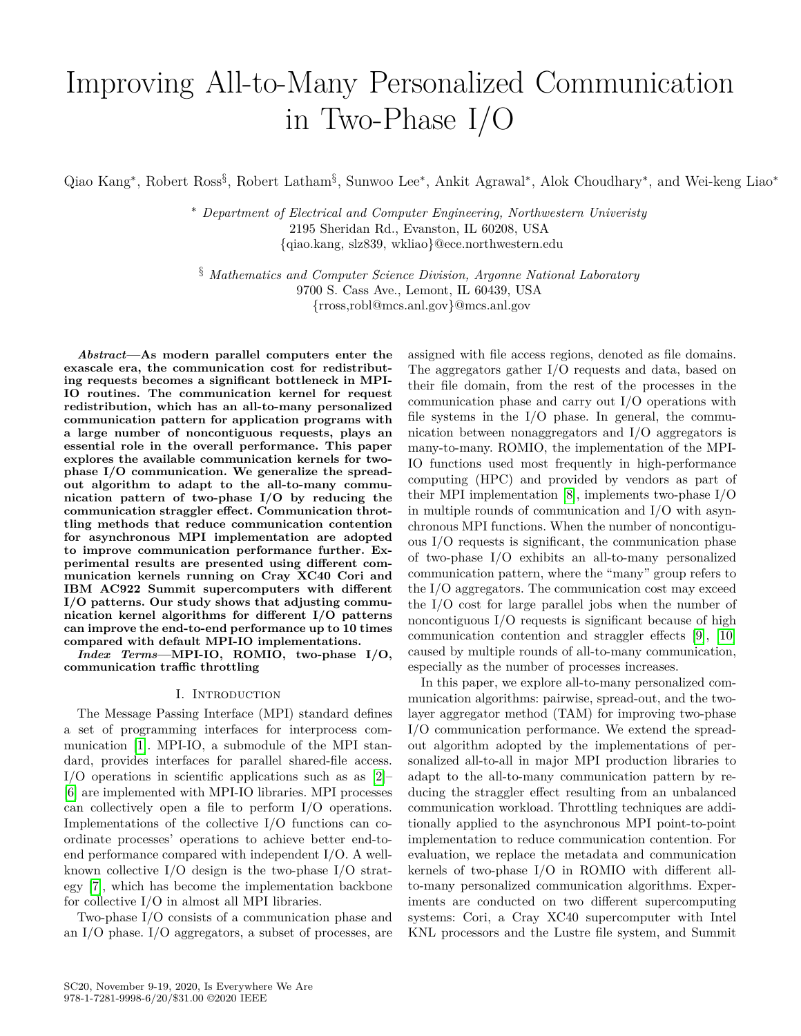# Improving All-to-Many Personalized Communication in Two-Phase I/O

Qiao Kang<sup>\*</sup>, Robert Ross<sup>§</sup>, Robert Latham<sup>§</sup>, Sunwoo Lee<sup>\*</sup>, Ankit Agrawal<sup>\*</sup>, Alok Choudhary<sup>\*</sup>, and Wei-keng Liao<sup>\*</sup>

<sup>∗</sup> *Department of Electrical and Computer Engineering, Northwestern Univeristy* 2195 Sheridan Rd., Evanston, IL 60208, USA {qiao.kang, slz839, wkliao}@ece.northwestern.edu

§ *Mathematics and Computer Science Division, Argonne National Laboratory* 9700 S. Cass Ave., Lemont, IL 60439, USA {rross,robl@mcs.anl.gov}@mcs.anl.gov

*Abstract***—As modern parallel computers enter the exascale era, the communication cost for redistributing requests becomes a significant bottleneck in MPI-IO routines. The communication kernel for request redistribution, which has an all-to-many personalized communication pattern for application programs with a large number of noncontiguous requests, plays an essential role in the overall performance. This paper explores the available communication kernels for twophase I/O communication. We generalize the spreadout algorithm to adapt to the all-to-many communication pattern of two-phase I/O by reducing the communication straggler effect. Communication throttling methods that reduce communication contention for asynchronous MPI implementation are adopted to improve communication performance further. Experimental results are presented using different communication kernels running on Cray XC40 Cori and IBM AC922 Summit supercomputers with different I/O patterns. Our study shows that adjusting communication kernel algorithms for different I/O patterns can improve the end-to-end performance up to 10 times compared with default MPI-IO implementations.**

*Index Terms***—MPI-IO, ROMIO, two-phase I/O, communication traffic throttling**

# I. Introduction

The Message Passing Interface (MPI) standard defines a set of programming interfaces for interprocess communication [\[1\]](#page-10-0). MPI-IO, a submodule of the MPI standard, provides interfaces for parallel shared-file access. I/O operations in scientific applications such as as [\[2\]](#page-10-1)– [\[6\]](#page-11-0) are implemented with MPI-IO libraries. MPI processes can collectively open a file to perform I/O operations. Implementations of the collective I/O functions can coordinate processes' operations to achieve better end-toend performance compared with independent I/O. A wellknown collective I/O design is the two-phase I/O strategy [\[7\]](#page-11-1), which has become the implementation backbone for collective I/O in almost all MPI libraries.

Two-phase I/O consists of a communication phase and an I/O phase. I/O aggregators, a subset of processes, are assigned with file access regions, denoted as file domains. The aggregators gather I/O requests and data, based on their file domain, from the rest of the processes in the communication phase and carry out I/O operations with file systems in the I/O phase. In general, the communication between nonaggregators and I/O aggregators is many-to-many. ROMIO, the implementation of the MPI-IO functions used most frequently in high-performance computing (HPC) and provided by vendors as part of their MPI implementation [\[8\]](#page-11-2), implements two-phase I/O in multiple rounds of communication and I/O with asynchronous MPI functions. When the number of noncontiguous I/O requests is significant, the communication phase of two-phase I/O exhibits an all-to-many personalized communication pattern, where the "many" group refers to the I/O aggregators. The communication cost may exceed the I/O cost for large parallel jobs when the number of noncontiguous I/O requests is significant because of high communication contention and straggler effects [\[9\]](#page-11-3), [\[10\]](#page-11-4) caused by multiple rounds of all-to-many communication, especially as the number of processes increases.

In this paper, we explore all-to-many personalized communication algorithms: pairwise, spread-out, and the twolayer aggregator method (TAM) for improving two-phase I/O communication performance. We extend the spreadout algorithm adopted by the implementations of personalized all-to-all in major MPI production libraries to adapt to the all-to-many communication pattern by reducing the straggler effect resulting from an unbalanced communication workload. Throttling techniques are additionally applied to the asynchronous MPI point-to-point implementation to reduce communication contention. For evaluation, we replace the metadata and communication kernels of two-phase I/O in ROMIO with different allto-many personalized communication algorithms. Experiments are conducted on two different supercomputing systems: Cori, a Cray XC40 supercomputer with Intel KNL processors and the Lustre file system, and Summit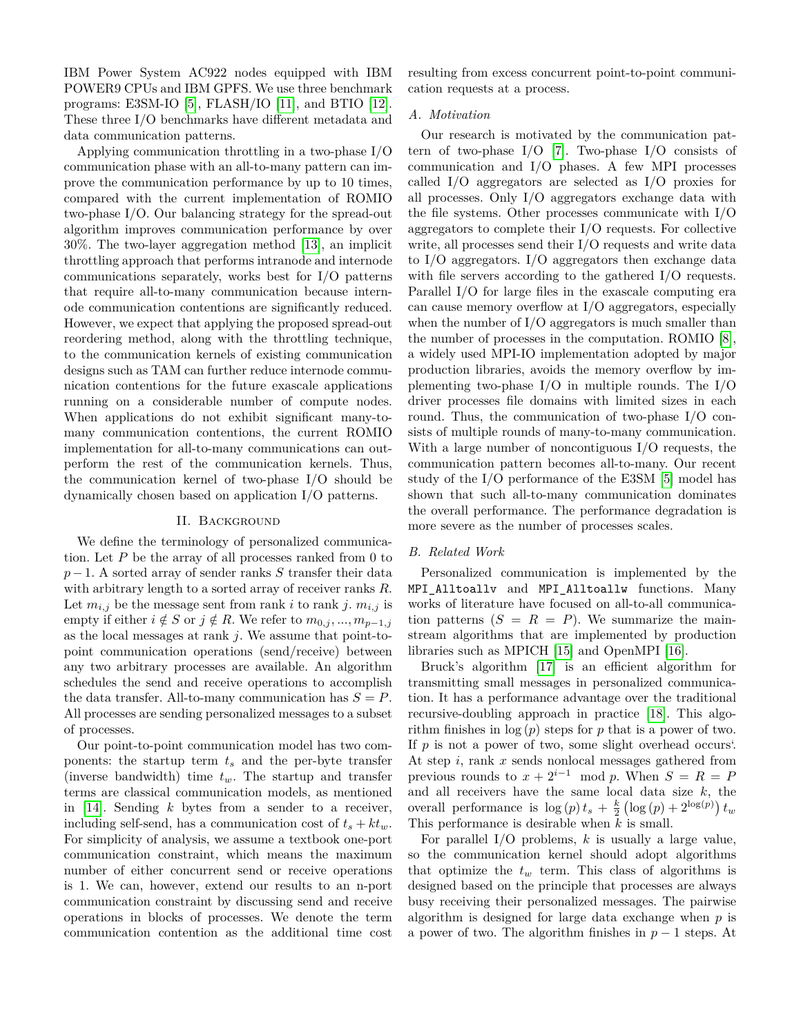IBM Power System AC922 nodes equipped with IBM POWER9 CPUs and IBM GPFS. We use three benchmark programs: E3SM-IO [\[5\]](#page-11-5), FLASH/IO [\[11\]](#page-11-6), and BTIO [\[12\]](#page-11-7). These three I/O benchmarks have different metadata and data communication patterns.

Applying communication throttling in a two-phase I/O communication phase with an all-to-many pattern can improve the communication performance by up to 10 times, compared with the current implementation of ROMIO two-phase I/O. Our balancing strategy for the spread-out algorithm improves communication performance by over 30%. The two-layer aggregation method [\[13\]](#page-11-8), an implicit throttling approach that performs intranode and internode communications separately, works best for I/O patterns that require all-to-many communication because internode communication contentions are significantly reduced. However, we expect that applying the proposed spread-out reordering method, along with the throttling technique, to the communication kernels of existing communication designs such as TAM can further reduce internode communication contentions for the future exascale applications running on a considerable number of compute nodes. When applications do not exhibit significant many-tomany communication contentions, the current ROMIO implementation for all-to-many communications can outperform the rest of the communication kernels. Thus, the communication kernel of two-phase I/O should be dynamically chosen based on application I/O patterns.

# II. Background

We define the terminology of personalized communication. Let *P* be the array of all processes ranked from 0 to *p*−1. A sorted array of sender ranks *S* transfer their data with arbitrary length to a sorted array of receiver ranks *R*. Let  $m_{i,j}$  be the message sent from rank *i* to rank *j*.  $m_{i,j}$  is empty if either  $i \notin S$  or  $j \notin R$ . We refer to  $m_{0,i},...,m_{p-1,i}$ as the local messages at rank *j*. We assume that point-topoint communication operations (send/receive) between any two arbitrary processes are available. An algorithm schedules the send and receive operations to accomplish the data transfer. All-to-many communication has  $S = P$ . All processes are sending personalized messages to a subset of processes.

Our point-to-point communication model has two components: the startup term *t<sup>s</sup>* and the per-byte transfer (inverse bandwidth) time *tw*. The startup and transfer terms are classical communication models, as mentioned in [\[14\]](#page-11-9). Sending *k* bytes from a sender to a receiver, including self-send, has a communication cost of  $t_s + kt_w$ . For simplicity of analysis, we assume a textbook one-port communication constraint, which means the maximum number of either concurrent send or receive operations is 1. We can, however, extend our results to an n-port communication constraint by discussing send and receive operations in blocks of processes. We denote the term communication contention as the additional time cost resulting from excess concurrent point-to-point communication requests at a process.

#### *A. Motivation*

Our research is motivated by the communication pattern of two-phase  $I/O$  [\[7\]](#page-11-1). Two-phase  $I/O$  consists of communication and I/O phases. A few MPI processes called I/O aggregators are selected as I/O proxies for all processes. Only I/O aggregators exchange data with the file systems. Other processes communicate with I/O aggregators to complete their I/O requests. For collective write, all processes send their I/O requests and write data to I/O aggregators. I/O aggregators then exchange data with file servers according to the gathered I/O requests. Parallel I/O for large files in the exascale computing era can cause memory overflow at I/O aggregators, especially when the number of  $I/O$  aggregators is much smaller than the number of processes in the computation. ROMIO [\[8\]](#page-11-2), a widely used MPI-IO implementation adopted by major production libraries, avoids the memory overflow by implementing two-phase  $I/O$  in multiple rounds. The  $I/O$ driver processes file domains with limited sizes in each round. Thus, the communication of two-phase I/O consists of multiple rounds of many-to-many communication. With a large number of noncontiguous I/O requests, the communication pattern becomes all-to-many. Our recent study of the I/O performance of the E3SM [\[5\]](#page-11-5) model has shown that such all-to-many communication dominates the overall performance. The performance degradation is more severe as the number of processes scales.

#### *B. Related Work*

Personalized communication is implemented by the MPI\_Alltoallv and MPI\_Alltoallw functions. Many works of literature have focused on all-to-all communication patterns  $(S = R = P)$ . We summarize the mainstream algorithms that are implemented by production libraries such as MPICH [\[15\]](#page-11-10) and OpenMPI [\[16\]](#page-11-11).

Bruck's algorithm [\[17\]](#page-11-12) is an efficient algorithm for transmitting small messages in personalized communication. It has a performance advantage over the traditional recursive-doubling approach in practice [\[18\]](#page-11-13). This algorithm finishes in log (*p*) steps for *p* that is a power of two. If *p* is not a power of two, some slight overhead occurs'. At step *i*, rank *x* sends nonlocal messages gathered from previous rounds to  $x + 2^{i-1} \mod p$ . When  $S = R = P$ and all receivers have the same local data size *k*, the overall performance is  $\log(p) t_s + \frac{k}{2} (\log(p) + 2^{\log(p)}) t_w$ This performance is desirable when *k* is small.

For parallel I/O problems, *k* is usually a large value, so the communication kernel should adopt algorithms that optimize the  $t_w$  term. This class of algorithms is designed based on the principle that processes are always busy receiving their personalized messages. The pairwise algorithm is designed for large data exchange when *p* is a power of two. The algorithm finishes in *p* − 1 steps. At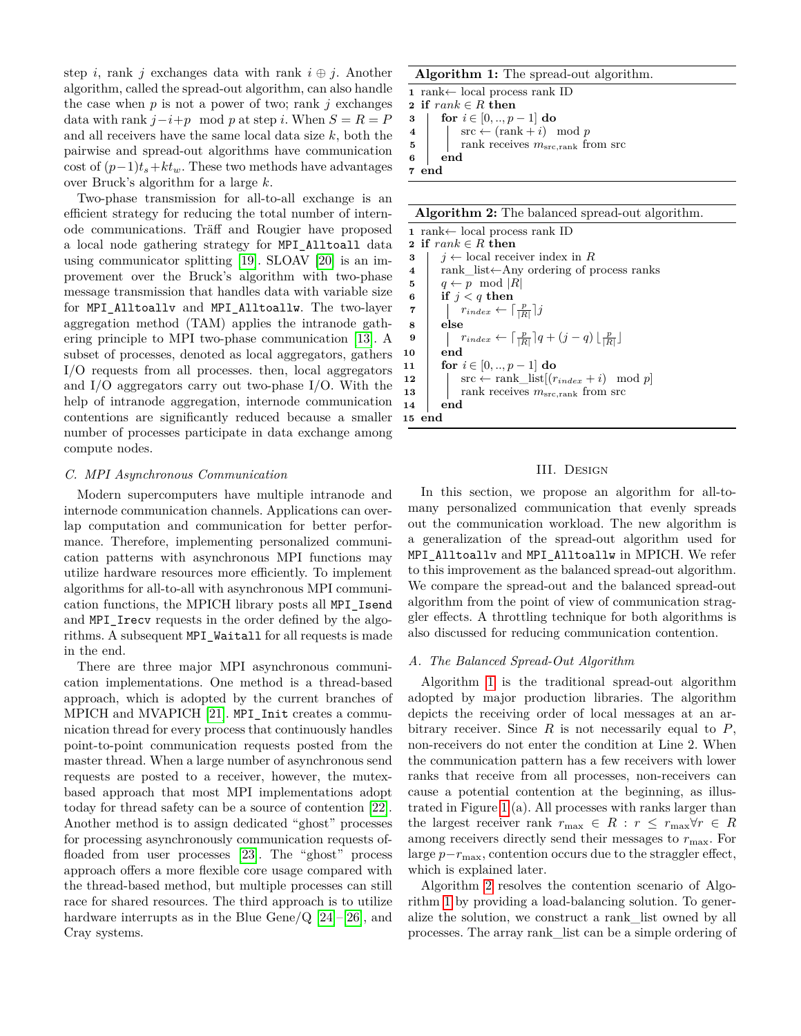step *i*, rank *j* exchanges data with rank  $i \oplus j$ . Another algorithm, called the spread-out algorithm, can also handle the case when  $p$  is not a power of two; rank  $j$  exchanges data with rank  $j-i+p \mod p$  at step *i*. When  $S = R = P$ and all receivers have the same local data size *k*, both the pairwise and spread-out algorithms have communication cost of  $(p-1)t_s+kt_w$ . These two methods have advantages over Bruck's algorithm for a large *k*.

Two-phase transmission for all-to-all exchange is an efficient strategy for reducing the total number of internode communications. Träff and Rougier have proposed a local node gathering strategy for MPI\_Alltoall data using communicator splitting [\[19\]](#page-11-14). SLOAV [\[20\]](#page-11-15) is an improvement over the Bruck's algorithm with two-phase message transmission that handles data with variable size for MPI\_Alltoallv and MPI\_Alltoallw. The two-layer aggregation method (TAM) applies the intranode gathering principle to MPI two-phase communication [\[13\]](#page-11-8). A subset of processes, denoted as local aggregators, gathers I/O requests from all processes. then, local aggregators and I/O aggregators carry out two-phase I/O. With the help of intranode aggregation, internode communication contentions are significantly reduced because a smaller number of processes participate in data exchange among compute nodes.

# *C. MPI Asynchronous Communication*

Modern supercomputers have multiple intranode and internode communication channels. Applications can overlap computation and communication for better performance. Therefore, implementing personalized communication patterns with asynchronous MPI functions may utilize hardware resources more efficiently. To implement algorithms for all-to-all with asynchronous MPI communication functions, the MPICH library posts all MPI\_Isend and MPI Irecv requests in the order defined by the algorithms. A subsequent MPI\_Waitall for all requests is made in the end.

There are three major MPI asynchronous communication implementations. One method is a thread-based approach, which is adopted by the current branches of MPICH and MVAPICH [\[21\]](#page-11-16). MPI\_Init creates a communication thread for every process that continuously handles point-to-point communication requests posted from the master thread. When a large number of asynchronous send requests are posted to a receiver, however, the mutexbased approach that most MPI implementations adopt today for thread safety can be a source of contention [\[22\]](#page-11-17). Another method is to assign dedicated "ghost" processes for processing asynchronously communication requests offloaded from user processes [\[23\]](#page-11-18). The "ghost" process approach offers a more flexible core usage compared with the thread-based method, but multiple processes can still race for shared resources. The third approach is to utilize hardware interrupts as in the Blue Gene/Q  $[24]$ – $[26]$ , and Cray systems.

#### **Algorithm 1:** The spread-out algorithm.

<span id="page-2-0"></span> rank← local process rank ID **if** *rank* ∈ *R* **then for**  $i \in [0, ..., p-1]$  **do**   $\vert$  src  $\leftarrow$  (rank + *i*) mod *p*  Tank receives  $m_{\text{src,rank}}$  from src **6 end**

**7 end**

**Algorithm 2:** The balanced spread-out algorithm.

<span id="page-2-1"></span> rank← local process rank ID **if** *rank* ∈ *R* **then**  $j \leftarrow \text{local receiver index in } R$  rank\_list←Any ordering of process ranks  $q \leftarrow p \mod |R|$  **if** *j < q* **then**  $\left| \begin{array}{c} r_{index} \leftarrow \lceil \frac{p}{|R|} \rceil j \end{array} \right.$ **8 else**  $\left| \int_{R}^{p} \left| \int_{R}^{p} \right|^{2} \left| q + (j - q) \right| \frac{p}{|R|} \right|$ **10 end for**  $i \in [0, ..., p-1]$  **do**   $\vert$  src  $\leftarrow$  rank\_list $[(r_{index} + i) \mod p]$  **i** rank receives  $m_{\text{src,rank}}$  from src **14 end 15 end**

#### III. Design

In this section, we propose an algorithm for all-tomany personalized communication that evenly spreads out the communication workload. The new algorithm is a generalization of the spread-out algorithm used for MPI\_Alltoallv and MPI\_Alltoallw in MPICH. We refer to this improvement as the balanced spread-out algorithm. We compare the spread-out and the balanced spread-out algorithm from the point of view of communication straggler effects. A throttling technique for both algorithms is also discussed for reducing communication contention.

#### *A. The Balanced Spread-Out Algorithm*

Algorithm [1](#page-2-0) is the traditional spread-out algorithm adopted by major production libraries. The algorithm depicts the receiving order of local messages at an arbitrary receiver. Since *R* is not necessarily equal to *P*, non-receivers do not enter the condition at Line 2. When the communication pattern has a few receivers with lower ranks that receive from all processes, non-receivers can cause a potential contention at the beginning, as illustrated in Figure [1](#page-3-0) (a). All processes with ranks larger than the largest receiver rank  $r_{\text{max}} \in R : r \leq r_{\text{max}} \forall r \in R$ among receivers directly send their messages to  $r_{\text{max}}$ . For large *p*−*r*max, contention occurs due to the straggler effect, which is explained later.

Algorithm [2](#page-2-1) resolves the contention scenario of Algorithm [1](#page-2-0) by providing a load-balancing solution. To generalize the solution, we construct a rank\_list owned by all processes. The array rank\_list can be a simple ordering of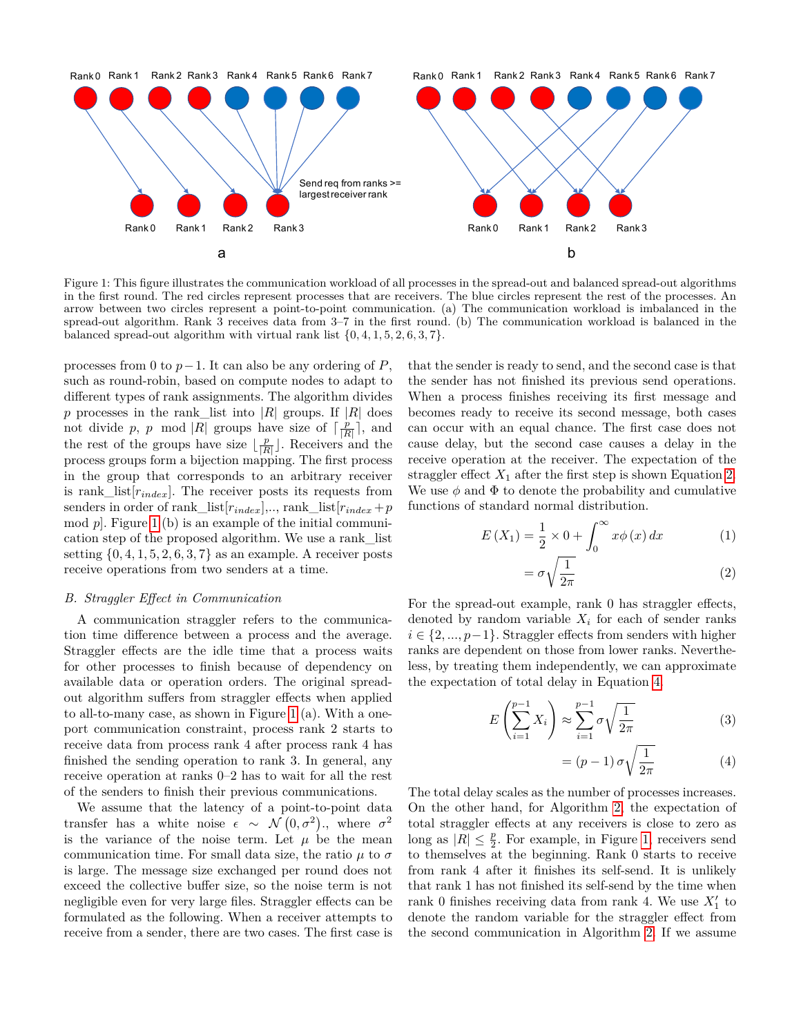<span id="page-3-0"></span>

Figure 1: This figure illustrates the communication workload of all processes in the spread-out and balanced spread-out algorithms in the first round. The red circles represent processes that are receivers. The blue circles represent the rest of the processes. An arrow between two circles represent a point-to-point communication. (a) The communication workload is imbalanced in the spread-out algorithm. Rank 3 receives data from 3–7 in the first round. (b) The communication workload is balanced in the balanced spread-out algorithm with virtual rank list  $\{0, 4, 1, 5, 2, 6, 3, 7\}$ .

processes from 0 to  $p-1$ . It can also be any ordering of *P*, such as round-robin, based on compute nodes to adapt to different types of rank assignments. The algorithm divides *p* processes in the rank\_list into |*R*| groups. If |*R*| does not divide p, p mod |R| groups have size of  $\lceil \frac{p}{|R|} \rceil$ , and the rest of the groups have size  $\lfloor \frac{p}{|R|} \rfloor$ . Receivers and the process groups form a bijection mapping. The first process in the group that corresponds to an arbitrary receiver is rank\_list[*rindex*]. The receiver posts its requests from senders in order of rank\_list $[r_{index}], \ldots$ , rank\_list $[r_{index} + p]$ mod *p*]. Figure [1](#page-3-0) (b) is an example of the initial communication step of the proposed algorithm. We use a rank\_list setting  $\{0, 4, 1, 5, 2, 6, 3, 7\}$  as an example. A receiver posts receive operations from two senders at a time.

# *B. Straggler Effect in Communication*

A communication straggler refers to the communication time difference between a process and the average. Straggler effects are the idle time that a process waits for other processes to finish because of dependency on available data or operation orders. The original spreadout algorithm suffers from straggler effects when applied to all-to-many case, as shown in Figure [1](#page-3-0) (a). With a oneport communication constraint, process rank 2 starts to receive data from process rank 4 after process rank 4 has finished the sending operation to rank 3. In general, any receive operation at ranks 0–2 has to wait for all the rest of the senders to finish their previous communications.

We assume that the latency of a point-to-point data transfer has a white noise  $\epsilon \sim \mathcal{N}(0, \sigma^2)$ ., where  $\sigma^2$ is the variance of the noise term. Let  $\mu$  be the mean communication time. For small data size, the ratio  $\mu$  to  $\sigma$ is large. The message size exchanged per round does not exceed the collective buffer size, so the noise term is not negligible even for very large files. Straggler effects can be formulated as the following. When a receiver attempts to receive from a sender, there are two cases. The first case is that the sender is ready to send, and the second case is that the sender has not finished its previous send operations. When a process finishes receiving its first message and becomes ready to receive its second message, both cases can occur with an equal chance. The first case does not cause delay, but the second case causes a delay in the receive operation at the receiver. The expectation of the straggler effect  $X_1$  after the first step is shown Equation [2.](#page-3-1) We use  $\phi$  and  $\Phi$  to denote the probability and cumulative functions of standard normal distribution.

$$
E(X_1) = \frac{1}{2} \times 0 + \int_0^\infty x \phi(x) \, dx \tag{1}
$$

<span id="page-3-1"></span>
$$
=\sigma\sqrt{\frac{1}{2\pi}}\tag{2}
$$

For the spread-out example, rank 0 has straggler effects, denoted by random variable  $X_i$  for each of sender ranks *i* ∈ {2, ..., *p*−1}. Straggler effects from senders with higher ranks are dependent on those from lower ranks. Nevertheless, by treating them independently, we can approximate the expectation of total delay in Equation [4.](#page-3-2)

$$
E\left(\sum_{i=1}^{p-1} X_i\right) \approx \sum_{i=1}^{p-1} \sigma \sqrt{\frac{1}{2\pi}} \tag{3}
$$

<span id="page-3-2"></span>
$$
= (p-1)\,\sigma\sqrt{\frac{1}{2\pi}}\tag{4}
$$

The total delay scales as the number of processes increases. On the other hand, for Algorithm [2,](#page-2-1) the expectation of total straggler effects at any receivers is close to zero as long as  $|R| \leq \frac{p}{2}$ . For example, in Figure [1,](#page-3-0) receivers send to themselves at the beginning. Rank 0 starts to receive from rank 4 after it finishes its self-send. It is unlikely that rank 1 has not finished its self-send by the time when rank 0 finishes receiving data from rank 4. We use  $X'_1$  to denote the random variable for the straggler effect from the second communication in Algorithm [2.](#page-2-1) If we assume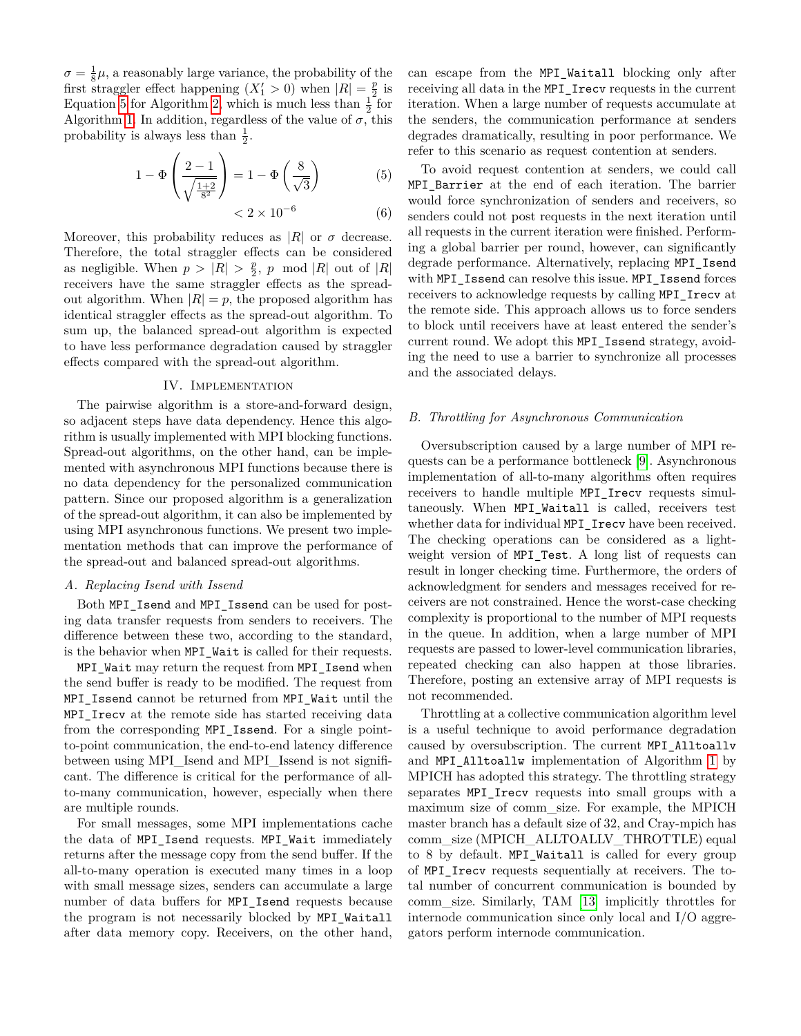$\sigma = \frac{1}{8}\mu$ , a reasonably large variance, the probability of the first straggler effect happening  $(X'_1 > 0)$  when  $|R| = \frac{p}{2}$  is Equation [5](#page-4-0) for Algorithm [2,](#page-2-1) which is much less than  $\frac{1}{2}$  for Algorithm [1.](#page-2-0) In addition, regardless of the value of  $\sigma$ , this probability is always less than  $\frac{1}{2}$ .

$$
1 - \Phi\left(\frac{2 - 1}{\sqrt{\frac{1 + 2}{8^2}}}\right) = 1 - \Phi\left(\frac{8}{\sqrt{3}}\right) \tag{5}
$$

 $< 2 \times 10^{-6}$ (6)

Moreover, this probability reduces as  $|R|$  or  $\sigma$  decrease. Therefore, the total straggler effects can be considered as negligible. When  $p > |R| > \frac{p}{2}$ , *p* mod |*R*| out of |*R*| receivers have the same straggler effects as the spreadout algorithm. When  $|R| = p$ , the proposed algorithm has identical straggler effects as the spread-out algorithm. To sum up, the balanced spread-out algorithm is expected to have less performance degradation caused by straggler effects compared with the spread-out algorithm.

# IV. Implementation

The pairwise algorithm is a store-and-forward design, so adjacent steps have data dependency. Hence this algorithm is usually implemented with MPI blocking functions. Spread-out algorithms, on the other hand, can be implemented with asynchronous MPI functions because there is no data dependency for the personalized communication pattern. Since our proposed algorithm is a generalization of the spread-out algorithm, it can also be implemented by using MPI asynchronous functions. We present two implementation methods that can improve the performance of the spread-out and balanced spread-out algorithms.

#### *A. Replacing Isend with Issend*

Both MPI\_Isend and MPI\_Issend can be used for posting data transfer requests from senders to receivers. The difference between these two, according to the standard, is the behavior when MPI\_Wait is called for their requests.

MPI\_Wait may return the request from MPI\_Isend when the send buffer is ready to be modified. The request from MPI\_Issend cannot be returned from MPI\_Wait until the MPI Irecv at the remote side has started receiving data from the corresponding MPI\_Issend. For a single pointto-point communication, the end-to-end latency difference between using MPI\_Isend and MPI\_Issend is not significant. The difference is critical for the performance of allto-many communication, however, especially when there are multiple rounds.

For small messages, some MPI implementations cache the data of MPI\_Isend requests. MPI\_Wait immediately returns after the message copy from the send buffer. If the all-to-many operation is executed many times in a loop with small message sizes, senders can accumulate a large number of data buffers for MPI\_Isend requests because the program is not necessarily blocked by MPI\_Waitall after data memory copy. Receivers, on the other hand, can escape from the MPI\_Waitall blocking only after receiving all data in the MPI\_Irecv requests in the current iteration. When a large number of requests accumulate at the senders, the communication performance at senders degrades dramatically, resulting in poor performance. We refer to this scenario as request contention at senders.

<span id="page-4-0"></span>To avoid request contention at senders, we could call MPI\_Barrier at the end of each iteration. The barrier would force synchronization of senders and receivers, so senders could not post requests in the next iteration until all requests in the current iteration were finished. Performing a global barrier per round, however, can significantly degrade performance. Alternatively, replacing MPI\_Isend with MPI\_Issend can resolve this issue. MPI\_Issend forces receivers to acknowledge requests by calling MPI\_Irecv at the remote side. This approach allows us to force senders to block until receivers have at least entered the sender's current round. We adopt this MPI\_Issend strategy, avoiding the need to use a barrier to synchronize all processes and the associated delays.

# *B. Throttling for Asynchronous Communication*

Oversubscription caused by a large number of MPI requests can be a performance bottleneck [\[9\]](#page-11-3). Asynchronous implementation of all-to-many algorithms often requires receivers to handle multiple MPI\_Irecv requests simultaneously. When MPI\_Waitall is called, receivers test whether data for individual MPI\_Irecv have been received. The checking operations can be considered as a lightweight version of MPI\_Test. A long list of requests can result in longer checking time. Furthermore, the orders of acknowledgment for senders and messages received for receivers are not constrained. Hence the worst-case checking complexity is proportional to the number of MPI requests in the queue. In addition, when a large number of MPI requests are passed to lower-level communication libraries, repeated checking can also happen at those libraries. Therefore, posting an extensive array of MPI requests is not recommended.

Throttling at a collective communication algorithm level is a useful technique to avoid performance degradation caused by oversubscription. The current MPI\_Alltoallv and MPI\_Alltoallw implementation of Algorithm [1](#page-2-0) by MPICH has adopted this strategy. The throttling strategy separates MPI\_Irecv requests into small groups with a maximum size of comm\_size. For example, the MPICH master branch has a default size of 32, and Cray-mpich has comm\_size (MPICH\_ALLTOALLV\_THROTTLE) equal to 8 by default. MPI\_Waitall is called for every group of MPI\_Irecv requests sequentially at receivers. The total number of concurrent communication is bounded by comm\_size. Similarly, TAM [\[13\]](#page-11-8) implicitly throttles for internode communication since only local and I/O aggregators perform internode communication.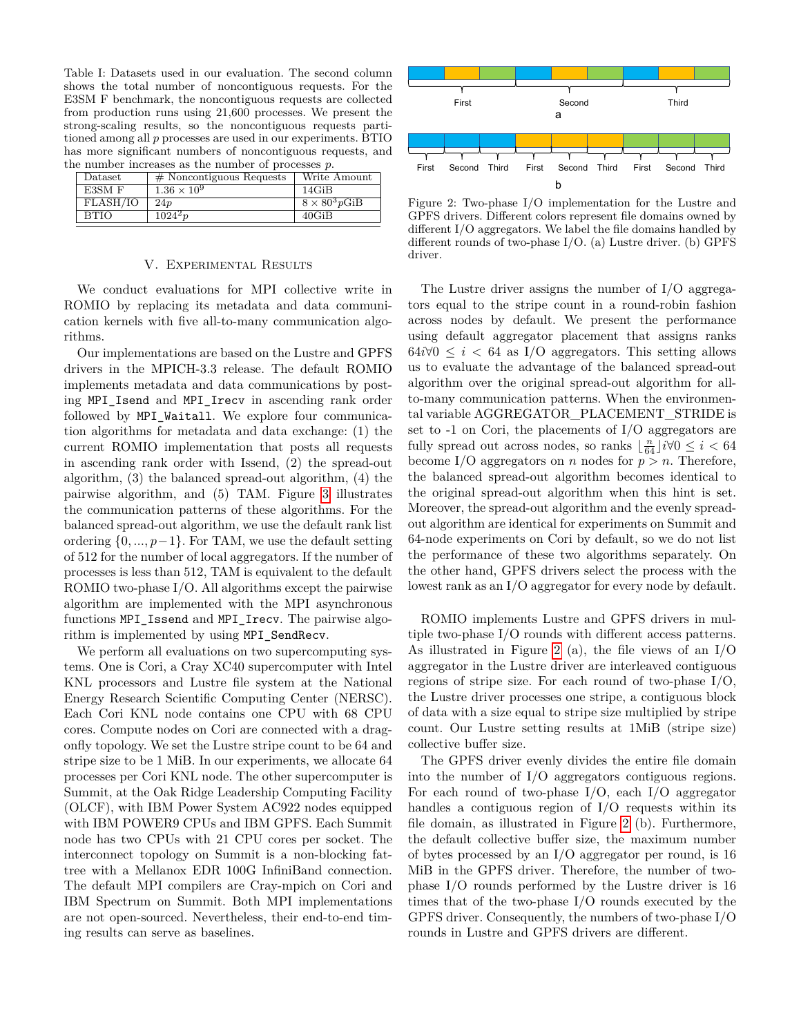<span id="page-5-1"></span>Table I: Datasets used in our evaluation. The second column shows the total number of noncontiguous requests. For the E3SM F benchmark, the noncontiguous requests are collected from production runs using 21,600 processes. We present the strong-scaling results, so the noncontiguous requests partitioned among all *p* processes are used in our experiments. BTIO has more significant numbers of noncontiguous requests, and the number increases as the number of processes *p*.

| Dataset     | $#$ Noncontiguous Requests | Write Amount          |
|-------------|----------------------------|-----------------------|
| E3SM F      | $1.36 \times 10^{9}$       | 14GiB                 |
| FLASH/IO    | 24p                        | $8 \times 80^3 p$ GiB |
| <b>BTIO</b> | $1024^{2}p$                | 40GiB                 |

#### V. Experimental Results

We conduct evaluations for MPI collective write in ROMIO by replacing its metadata and data communication kernels with five all-to-many communication algorithms.

Our implementations are based on the Lustre and GPFS drivers in the MPICH-3.3 release. The default ROMIO implements metadata and data communications by posting MPI Isend and MPI Irecv in ascending rank order followed by MPI\_Waitall. We explore four communication algorithms for metadata and data exchange: (1) the current ROMIO implementation that posts all requests in ascending rank order with Issend, (2) the spread-out algorithm, (3) the balanced spread-out algorithm, (4) the pairwise algorithm, and (5) TAM. Figure [3](#page-6-0) illustrates the communication patterns of these algorithms. For the balanced spread-out algorithm, we use the default rank list ordering  $\{0, ..., p-1\}$ . For TAM, we use the default setting of 512 for the number of local aggregators. If the number of processes is less than 512, TAM is equivalent to the default ROMIO two-phase I/O. All algorithms except the pairwise algorithm are implemented with the MPI asynchronous functions MPI\_Issend and MPI\_Irecv. The pairwise algorithm is implemented by using MPI\_SendRecv.

We perform all evaluations on two supercomputing systems. One is Cori, a Cray XC40 supercomputer with Intel KNL processors and Lustre file system at the National Energy Research Scientific Computing Center (NERSC). Each Cori KNL node contains one CPU with 68 CPU cores. Compute nodes on Cori are connected with a dragonfly topology. We set the Lustre stripe count to be 64 and stripe size to be 1 MiB. In our experiments, we allocate 64 processes per Cori KNL node. The other supercomputer is Summit, at the Oak Ridge Leadership Computing Facility (OLCF), with IBM Power System AC922 nodes equipped with IBM POWER9 CPUs and IBM GPFS. Each Summit node has two CPUs with 21 CPU cores per socket. The interconnect topology on Summit is a non-blocking fattree with a Mellanox EDR 100G InfiniBand connection. The default MPI compilers are Cray-mpich on Cori and IBM Spectrum on Summit. Both MPI implementations are not open-sourced. Nevertheless, their end-to-end timing results can serve as baselines.

<span id="page-5-0"></span>

Figure 2: Two-phase I/O implementation for the Lustre and GPFS drivers. Different colors represent file domains owned by different I/O aggregators. We label the file domains handled by different rounds of two-phase I/O. (a) Lustre driver. (b) GPFS driver.

The Lustre driver assigns the number of I/O aggregators equal to the stripe count in a round-robin fashion across nodes by default. We present the performance using default aggregator placement that assigns ranks  $64i\sqrt{0} \leq i < 64$  as I/O aggregators. This setting allows us to evaluate the advantage of the balanced spread-out algorithm over the original spread-out algorithm for allto-many communication patterns. When the environmental variable AGGREGATOR\_PLACEMENT\_STRIDE is set to -1 on Cori, the placements of I/O aggregators are fully spread out across nodes, so ranks  $\lfloor \frac{n}{64} \rfloor i \forall 0 \leq i < 64$ become I/O aggregators on *n* nodes for  $p > n$ . Therefore, the balanced spread-out algorithm becomes identical to the original spread-out algorithm when this hint is set. Moreover, the spread-out algorithm and the evenly spreadout algorithm are identical for experiments on Summit and 64-node experiments on Cori by default, so we do not list the performance of these two algorithms separately. On the other hand, GPFS drivers select the process with the lowest rank as an I/O aggregator for every node by default.

ROMIO implements Lustre and GPFS drivers in multiple two-phase I/O rounds with different access patterns. As illustrated in Figure [2](#page-5-0) (a), the file views of an I/O aggregator in the Lustre driver are interleaved contiguous regions of stripe size. For each round of two-phase I/O, the Lustre driver processes one stripe, a contiguous block of data with a size equal to stripe size multiplied by stripe count. Our Lustre setting results at 1MiB (stripe size) collective buffer size.

The GPFS driver evenly divides the entire file domain into the number of I/O aggregators contiguous regions. For each round of two-phase I/O, each I/O aggregator handles a contiguous region of I/O requests within its file domain, as illustrated in Figure [2](#page-5-0) (b). Furthermore, the default collective buffer size, the maximum number of bytes processed by an I/O aggregator per round, is 16 MiB in the GPFS driver. Therefore, the number of twophase I/O rounds performed by the Lustre driver is 16 times that of the two-phase I/O rounds executed by the GPFS driver. Consequently, the numbers of two-phase I/O rounds in Lustre and GPFS drivers are different.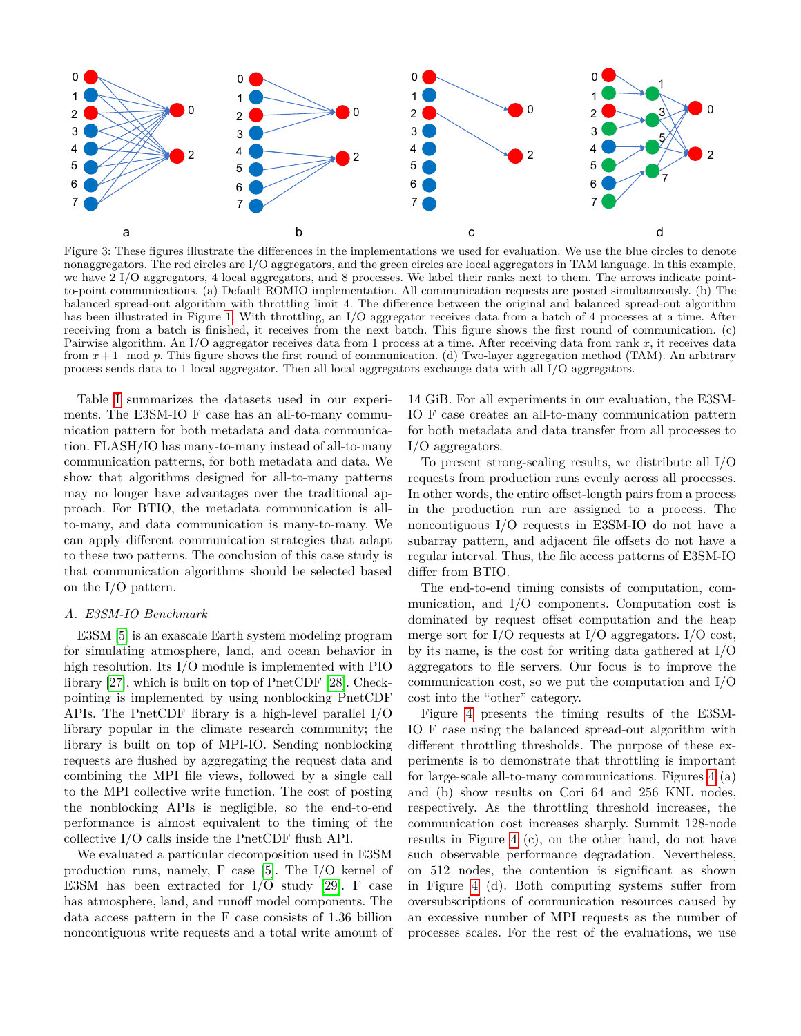<span id="page-6-0"></span>

Figure 3: These figures illustrate the differences in the implementations we used for evaluation. We use the blue circles to denote nonaggregators. The red circles are I/O aggregators, and the green circles are local aggregators in TAM language. In this example, we have 2 I/O aggregators, 4 local aggregators, and 8 processes. We label their ranks next to them. The arrows indicate pointto-point communications. (a) Default ROMIO implementation. All communication requests are posted simultaneously. (b) The balanced spread-out algorithm with throttling limit 4. The difference between the original and balanced spread-out algorithm has been illustrated in Figure [1.](#page-3-0) With throttling, an I/O aggregator receives data from a batch of 4 processes at a time. After receiving from a batch is finished, it receives from the next batch. This figure shows the first round of communication. (c) Pairwise algorithm. An I/O aggregator receives data from 1 process at a time. After receiving data from rank *x*, it receives data from *x* + 1 mod *p*. This figure shows the first round of communication. (d) Two-layer aggregation method (TAM). An arbitrary process sends data to 1 local aggregator. Then all local aggregators exchange data with all I/O aggregators.

Table [I](#page-5-1) summarizes the datasets used in our experiments. The E3SM-IO F case has an all-to-many communication pattern for both metadata and data communication. FLASH/IO has many-to-many instead of all-to-many communication patterns, for both metadata and data. We show that algorithms designed for all-to-many patterns may no longer have advantages over the traditional approach. For BTIO, the metadata communication is allto-many, and data communication is many-to-many. We can apply different communication strategies that adapt to these two patterns. The conclusion of this case study is that communication algorithms should be selected based on the I/O pattern.

# *A. E3SM-IO Benchmark*

E3SM [\[5\]](#page-11-5) is an exascale Earth system modeling program for simulating atmosphere, land, and ocean behavior in high resolution. Its I/O module is implemented with PIO library [\[27\]](#page-11-21), which is built on top of PnetCDF [\[28\]](#page-11-22). Checkpointing is implemented by using nonblocking PnetCDF APIs. The PnetCDF library is a high-level parallel I/O library popular in the climate research community; the library is built on top of MPI-IO. Sending nonblocking requests are flushed by aggregating the request data and combining the MPI file views, followed by a single call to the MPI collective write function. The cost of posting the nonblocking APIs is negligible, so the end-to-end performance is almost equivalent to the timing of the collective I/O calls inside the PnetCDF flush API.

We evaluated a particular decomposition used in E3SM production runs, namely, F case [\[5\]](#page-11-5). The I/O kernel of E3SM has been extracted for I/O study [\[29\]](#page-11-23). F case has atmosphere, land, and runoff model components. The data access pattern in the F case consists of 1.36 billion noncontiguous write requests and a total write amount of

14 GiB. For all experiments in our evaluation, the E3SM-IO F case creates an all-to-many communication pattern for both metadata and data transfer from all processes to I/O aggregators.

To present strong-scaling results, we distribute all I/O requests from production runs evenly across all processes. In other words, the entire offset-length pairs from a process in the production run are assigned to a process. The noncontiguous I/O requests in E3SM-IO do not have a subarray pattern, and adjacent file offsets do not have a regular interval. Thus, the file access patterns of E3SM-IO differ from BTIO.

The end-to-end timing consists of computation, communication, and I/O components. Computation cost is dominated by request offset computation and the heap merge sort for I/O requests at I/O aggregators. I/O cost, by its name, is the cost for writing data gathered at I/O aggregators to file servers. Our focus is to improve the communication cost, so we put the computation and I/O cost into the "other" category.

Figure [4](#page-7-0) presents the timing results of the E3SM-IO F case using the balanced spread-out algorithm with different throttling thresholds. The purpose of these experiments is to demonstrate that throttling is important for large-scale all-to-many communications. Figures [4](#page-7-0) (a) and (b) show results on Cori 64 and 256 KNL nodes, respectively. As the throttling threshold increases, the communication cost increases sharply. Summit 128-node results in Figure [4](#page-7-0) (c), on the other hand, do not have such observable performance degradation. Nevertheless, on 512 nodes, the contention is significant as shown in Figure [4](#page-7-0) (d). Both computing systems suffer from oversubscriptions of communication resources caused by an excessive number of MPI requests as the number of processes scales. For the rest of the evaluations, we use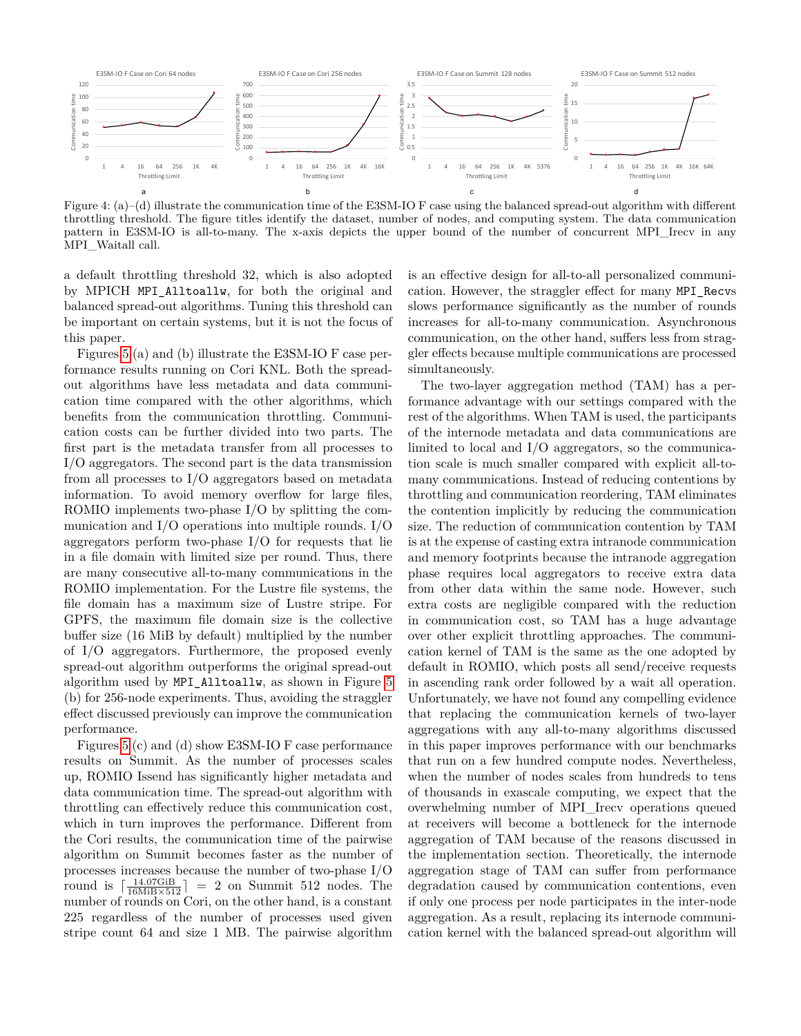<span id="page-7-0"></span>

Figure 4: (a)–(d) illustrate the communication time of the E3SM-IO F case using the balanced spread-out algorithm with different throttling threshold. The figure titles identify the dataset, number of nodes, and computing system. The data communication pattern in E3SM-IO is all-to-many. The x-axis depicts the upper bound of the number of concurrent MPI\_Irecv in any MPI\_Waitall call.

a default throttling threshold 32, which is also adopted by MPICH MPI\_Alltoallw, for both the original and balanced spread-out algorithms. Tuning this threshold can be important on certain systems, but it is not the focus of this paper.

Figures [5](#page-8-0) (a) and (b) illustrate the E3SM-IO F case performance results running on Cori KNL. Both the spreadout algorithms have less metadata and data communication time compared with the other algorithms, which benefits from the communication throttling. Communication costs can be further divided into two parts. The first part is the metadata transfer from all processes to I/O aggregators. The second part is the data transmission from all processes to I/O aggregators based on metadata information. To avoid memory overflow for large files, ROMIO implements two-phase I/O by splitting the communication and I/O operations into multiple rounds. I/O aggregators perform two-phase I/O for requests that lie in a file domain with limited size per round. Thus, there are many consecutive all-to-many communications in the ROMIO implementation. For the Lustre file systems, the file domain has a maximum size of Lustre stripe. For GPFS, the maximum file domain size is the collective buffer size (16 MiB by default) multiplied by the number of I/O aggregators. Furthermore, the proposed evenly spread-out algorithm outperforms the original spread-out algorithm used by MPI\_Alltoallw, as shown in Figure [5](#page-8-0) (b) for 256-node experiments. Thus, avoiding the straggler effect discussed previously can improve the communication performance.

Figures [5](#page-8-0) (c) and (d) show E3SM-IO F case performance results on Summit. As the number of processes scales up, ROMIO Issend has significantly higher metadata and data communication time. The spread-out algorithm with throttling can effectively reduce this communication cost, which in turn improves the performance. Different from the Cori results, the communication time of the pairwise algorithm on Summit becomes faster as the number of processes increases because the number of two-phase I/O round is  $\frac{14.07\text{GiB}}{16\text{MiB}\times512}$  = 2 on Summit 512 nodes. The number of rounds on Cori, on the other hand, is a constant 225 regardless of the number of processes used given stripe count 64 and size 1 MB. The pairwise algorithm is an effective design for all-to-all personalized communication. However, the straggler effect for many MPI\_Recvs slows performance significantly as the number of rounds increases for all-to-many communication. Asynchronous communication, on the other hand, suffers less from straggler effects because multiple communications are processed simultaneously.

The two-layer aggregation method (TAM) has a performance advantage with our settings compared with the rest of the algorithms. When TAM is used, the participants of the internode metadata and data communications are limited to local and I/O aggregators, so the communication scale is much smaller compared with explicit all-tomany communications. Instead of reducing contentions by throttling and communication reordering, TAM eliminates the contention implicitly by reducing the communication size. The reduction of communication contention by TAM is at the expense of casting extra intranode communication and memory footprints because the intranode aggregation phase requires local aggregators to receive extra data from other data within the same node. However, such extra costs are negligible compared with the reduction in communication cost, so TAM has a huge advantage over other explicit throttling approaches. The communication kernel of TAM is the same as the one adopted by default in ROMIO, which posts all send/receive requests in ascending rank order followed by a wait all operation. Unfortunately, we have not found any compelling evidence that replacing the communication kernels of two-layer aggregations with any all-to-many algorithms discussed in this paper improves performance with our benchmarks that run on a few hundred compute nodes. Nevertheless, when the number of nodes scales from hundreds to tens of thousands in exascale computing, we expect that the overwhelming number of MPI\_Irecv operations queued at receivers will become a bottleneck for the internode aggregation of TAM because of the reasons discussed in the implementation section. Theoretically, the internode aggregation stage of TAM can suffer from performance degradation caused by communication contentions, even if only one process per node participates in the inter-node aggregation. As a result, replacing its internode communication kernel with the balanced spread-out algorithm will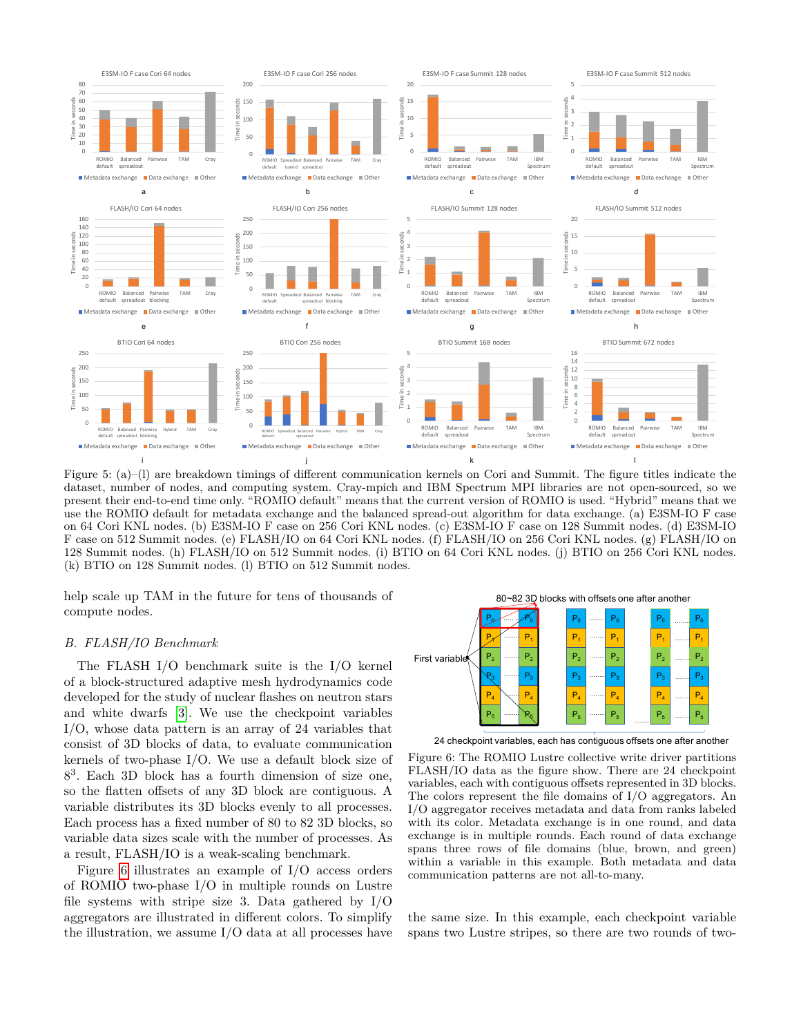<span id="page-8-0"></span>

Figure 5: (a)–(l) are breakdown timings of different communication kernels on Cori and Summit. The figure titles indicate the dataset, number of nodes, and computing system. Cray-mpich and IBM Spectrum MPI libraries are not open-sourced, so we present their end-to-end time only. "ROMIO default" means that the current version of ROMIO is used. "Hybrid" means that we use the ROMIO default for metadata exchange and the balanced spread-out algorithm for data exchange. (a) E3SM-IO F case on 64 Cori KNL nodes. (b) E3SM-IO F case on 256 Cori KNL nodes. (c) E3SM-IO F case on 128 Summit nodes. (d) E3SM-IO F case on 512 Summit nodes. (e) FLASH/IO on 64 Cori KNL nodes. (f) FLASH/IO on 256 Cori KNL nodes. (g) FLASH/IO on 128 Summit nodes. (h) FLASH/IO on 512 Summit nodes. (i) BTIO on 64 Cori KNL nodes. (j) BTIO on 256 Cori KNL nodes. (k) BTIO on 128 Summit nodes. (l) BTIO on 512 Summit nodes.

help scale up TAM in the future for tens of thousands of compute nodes.

#### *B. FLASH/IO Benchmark*

The FLASH I/O benchmark suite is the I/O kernel of a block-structured adaptive mesh hydrodynamics code developed for the study of nuclear flashes on neutron stars and white dwarfs [\[3\]](#page-10-2). We use the checkpoint variables I/O, whose data pattern is an array of 24 variables that consist of 3D blocks of data, to evaluate communication kernels of two-phase I/O. We use a default block size of 8 3 . Each 3D block has a fourth dimension of size one, so the flatten offsets of any 3D block are contiguous. A variable distributes its 3D blocks evenly to all processes. Each process has a fixed number of 80 to 82 3D blocks, so variable data sizes scale with the number of processes. As a result, FLASH/IO is a weak-scaling benchmark.

Figure [6](#page-8-1) illustrates an example of I/O access orders of ROMIO two-phase I/O in multiple rounds on Lustre file systems with stripe size 3. Data gathered by I/O aggregators are illustrated in different colors. To simplify the illustration, we assume I/O data at all processes have

<span id="page-8-1"></span>

24 checkpoint variables, each has contiguous offsets one after another

Figure 6: The ROMIO Lustre collective write driver partitions FLASH/IO data as the figure show. There are 24 checkpoint variables, each with contiguous offsets represented in 3D blocks. The colors represent the file domains of I/O aggregators. An I/O aggregator receives metadata and data from ranks labeled with its color. Metadata exchange is in one round, and data exchange is in multiple rounds. Each round of data exchange spans three rows of file domains (blue, brown, and green) within a variable in this example. Both metadata and data communication patterns are not all-to-many.

the same size. In this example, each checkpoint variable spans two Lustre stripes, so there are two rounds of two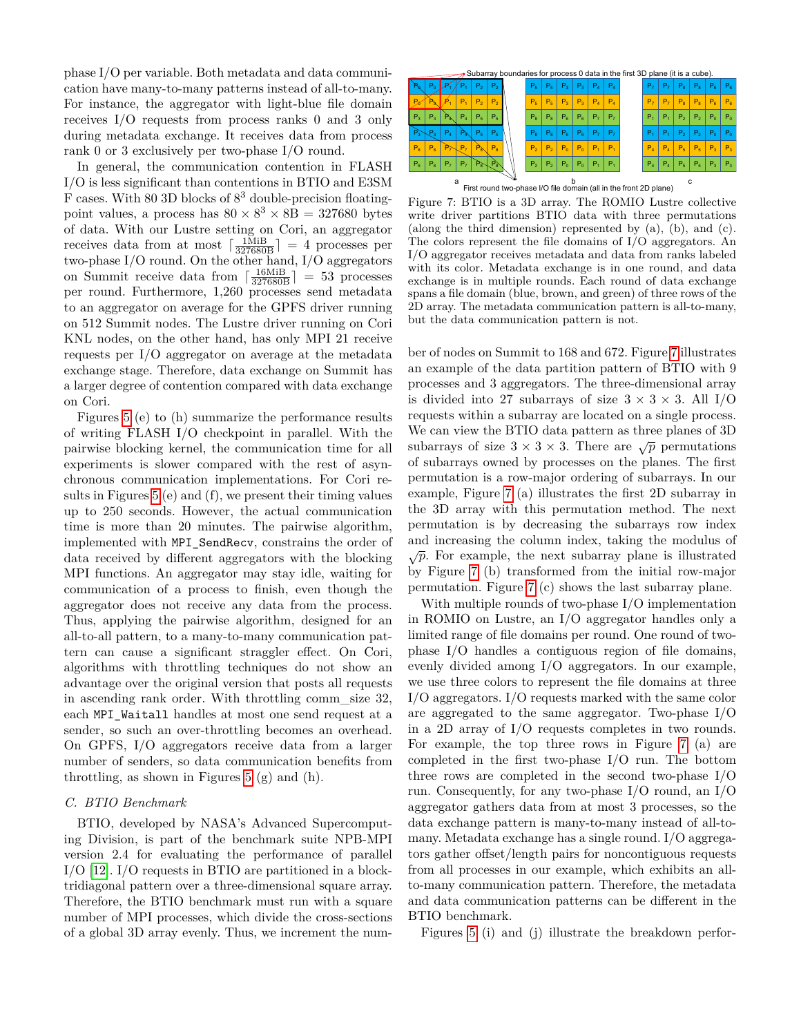phase I/O per variable. Both metadata and data communication have many-to-many patterns instead of all-to-many. For instance, the aggregator with light-blue file domain receives I/O requests from process ranks 0 and 3 only during metadata exchange. It receives data from process rank 0 or 3 exclusively per two-phase I/O round.

In general, the communication contention in FLASH I/O is less significant than contentions in BTIO and E3SM F cases. With 80 3D blocks of  $8^3$  double-precision floatingpoint values, a process has  $80 \times 8^3 \times 8 = 327680$  bytes of data. With our Lustre setting on Cori, an aggregator receives data from at most  $\lceil \frac{1 \text{ MiB}}{327680 \text{B}} \rceil = 4$  processes per two-phase I/O round. On the other hand, I/O aggregators on Summit receive data from  $\lceil \frac{16 \text{ MiB}}{327680 \text{B}} \rceil = 53$  processes per round. Furthermore, 1,260 processes send metadata to an aggregator on average for the GPFS driver running on 512 Summit nodes. The Lustre driver running on Cori KNL nodes, on the other hand, has only MPI 21 receive requests per I/O aggregator on average at the metadata exchange stage. Therefore, data exchange on Summit has a larger degree of contention compared with data exchange on Cori.

Figures [5](#page-8-0) (e) to (h) summarize the performance results of writing FLASH I/O checkpoint in parallel. With the pairwise blocking kernel, the communication time for all experiments is slower compared with the rest of asynchronous communication implementations. For Cori results in Figures [5](#page-8-0) (e) and (f), we present their timing values up to 250 seconds. However, the actual communication time is more than 20 minutes. The pairwise algorithm, implemented with MPI\_SendRecv, constrains the order of data received by different aggregators with the blocking MPI functions. An aggregator may stay idle, waiting for communication of a process to finish, even though the aggregator does not receive any data from the process. Thus, applying the pairwise algorithm, designed for an all-to-all pattern, to a many-to-many communication pattern can cause a significant straggler effect. On Cori, algorithms with throttling techniques do not show an advantage over the original version that posts all requests in ascending rank order. With throttling comm\_size 32, each MPI Waitall handles at most one send request at a sender, so such an over-throttling becomes an overhead. On GPFS, I/O aggregators receive data from a larger number of senders, so data communication benefits from throttling, as shown in Figures [5](#page-8-0) (g) and (h).

#### *C. BTIO Benchmark*

BTIO, developed by NASA's Advanced Supercomputing Division, is part of the benchmark suite NPB-MPI version 2.4 for evaluating the performance of parallel I/O [\[12\]](#page-11-7). I/O requests in BTIO are partitioned in a blocktridiagonal pattern over a three-dimensional square array. Therefore, the BTIO benchmark must run with a square number of MPI processes, which divide the cross-sections of a global 3D array evenly. Thus, we increment the num-

<span id="page-9-0"></span>

a b c First round two-phase I/O file domain (all in the front 2D plane)

Figure 7: BTIO is a 3D array. The ROMIO Lustre collective write driver partitions BTIO data with three permutations (along the third dimension) represented by (a), (b), and (c). The colors represent the file domains of I/O aggregators. An I/O aggregator receives metadata and data from ranks labeled with its color. Metadata exchange is in one round, and data exchange is in multiple rounds. Each round of data exchange spans a file domain (blue, brown, and green) of three rows of the 2D array. The metadata communication pattern is all-to-many, but the data communication pattern is not.

ber of nodes on Summit to 168 and 672. Figure [7](#page-9-0) illustrates an example of the data partition pattern of BTIO with 9 processes and 3 aggregators. The three-dimensional array is divided into 27 subarrays of size  $3 \times 3 \times 3$ . All I/O requests within a subarray are located on a single process. We can view the BTIO data pattern as three planes of 3D subarrays of size  $3 \times 3 \times 3$ . There are  $\sqrt{p}$  permutations of subarrays owned by processes on the planes. The first permutation is a row-major ordering of subarrays. In our example, Figure [7](#page-9-0) (a) illustrates the first 2D subarray in the 3D array with this permutation method. The next permutation is by decreasing the subarrays row index and increasing the column index, taking the modulus of  $\sqrt{p}$ . For example, the next subarray plane is illustrated by Figure [7](#page-9-0) (b) transformed from the initial row-major permutation. Figure [7](#page-9-0) (c) shows the last subarray plane.

With multiple rounds of two-phase I/O implementation in ROMIO on Lustre, an I/O aggregator handles only a limited range of file domains per round. One round of twophase I/O handles a contiguous region of file domains, evenly divided among I/O aggregators. In our example, we use three colors to represent the file domains at three I/O aggregators. I/O requests marked with the same color are aggregated to the same aggregator. Two-phase I/O in a 2D array of I/O requests completes in two rounds. For example, the top three rows in Figure [7](#page-9-0) (a) are completed in the first two-phase I/O run. The bottom three rows are completed in the second two-phase I/O run. Consequently, for any two-phase I/O round, an I/O aggregator gathers data from at most 3 processes, so the data exchange pattern is many-to-many instead of all-tomany. Metadata exchange has a single round. I/O aggregators gather offset/length pairs for noncontiguous requests from all processes in our example, which exhibits an allto-many communication pattern. Therefore, the metadata and data communication patterns can be different in the BTIO benchmark.

Figures [5](#page-8-0) (i) and (j) illustrate the breakdown perfor-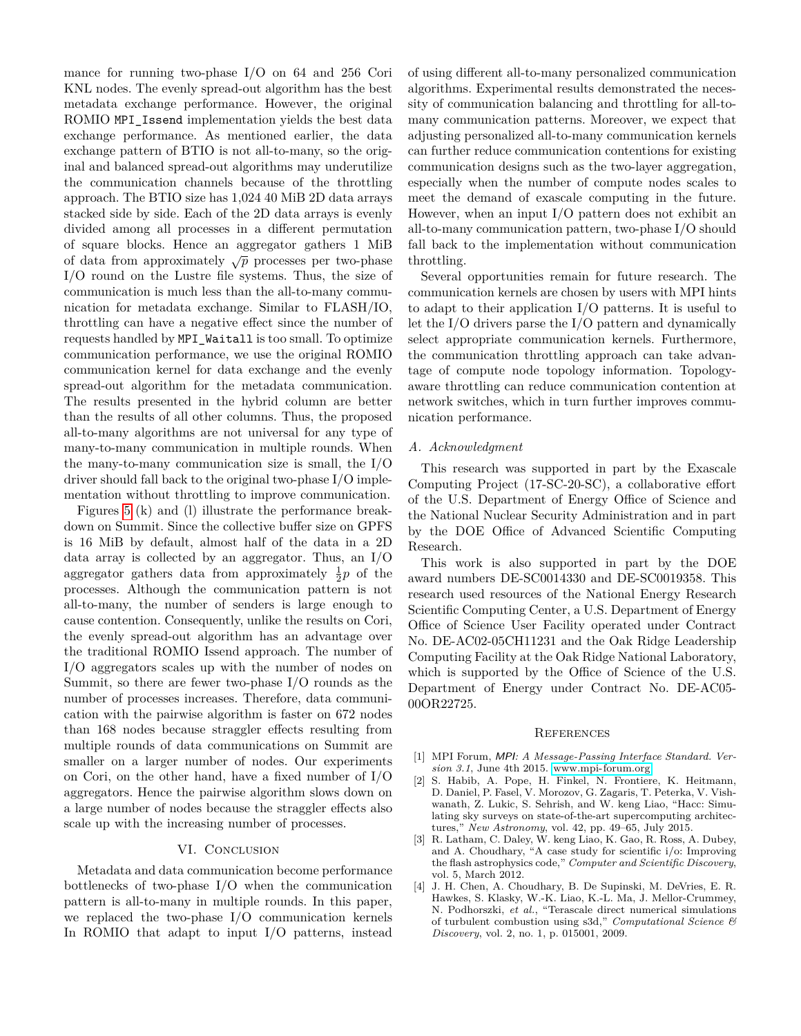mance for running two-phase I/O on 64 and 256 Cori KNL nodes. The evenly spread-out algorithm has the best metadata exchange performance. However, the original ROMIO MPI\_Issend implementation yields the best data exchange performance. As mentioned earlier, the data exchange pattern of BTIO is not all-to-many, so the original and balanced spread-out algorithms may underutilize the communication channels because of the throttling approach. The BTIO size has 1,024 40 MiB 2D data arrays stacked side by side. Each of the 2D data arrays is evenly divided among all processes in a different permutation of square blocks. Hence an aggregator gathers 1 MiB of data from approximately  $\sqrt{p}$  processes per two-phase I/O round on the Lustre file systems. Thus, the size of communication is much less than the all-to-many communication for metadata exchange. Similar to FLASH/IO, throttling can have a negative effect since the number of requests handled by MPI\_Waitall is too small. To optimize communication performance, we use the original ROMIO communication kernel for data exchange and the evenly spread-out algorithm for the metadata communication. The results presented in the hybrid column are better than the results of all other columns. Thus, the proposed all-to-many algorithms are not universal for any type of many-to-many communication in multiple rounds. When the many-to-many communication size is small, the I/O driver should fall back to the original two-phase I/O implementation without throttling to improve communication.

Figures [5](#page-8-0) (k) and (l) illustrate the performance breakdown on Summit. Since the collective buffer size on GPFS is 16 MiB by default, almost half of the data in a 2D data array is collected by an aggregator. Thus, an I/O aggregator gathers data from approximately  $\frac{1}{2}p$  of the processes. Although the communication pattern is not all-to-many, the number of senders is large enough to cause contention. Consequently, unlike the results on Cori, the evenly spread-out algorithm has an advantage over the traditional ROMIO Issend approach. The number of I/O aggregators scales up with the number of nodes on Summit, so there are fewer two-phase I/O rounds as the number of processes increases. Therefore, data communication with the pairwise algorithm is faster on 672 nodes than 168 nodes because straggler effects resulting from multiple rounds of data communications on Summit are smaller on a larger number of nodes. Our experiments on Cori, on the other hand, have a fixed number of I/O aggregators. Hence the pairwise algorithm slows down on a large number of nodes because the straggler effects also scale up with the increasing number of processes.

# VI. CONCLUSION

Metadata and data communication become performance bottlenecks of two-phase I/O when the communication pattern is all-to-many in multiple rounds. In this paper, we replaced the two-phase I/O communication kernels In ROMIO that adapt to input I/O patterns, instead of using different all-to-many personalized communication algorithms. Experimental results demonstrated the necessity of communication balancing and throttling for all-tomany communication patterns. Moreover, we expect that adjusting personalized all-to-many communication kernels can further reduce communication contentions for existing communication designs such as the two-layer aggregation, especially when the number of compute nodes scales to meet the demand of exascale computing in the future. However, when an input I/O pattern does not exhibit an all-to-many communication pattern, two-phase I/O should fall back to the implementation without communication throttling.

Several opportunities remain for future research. The communication kernels are chosen by users with MPI hints to adapt to their application I/O patterns. It is useful to let the I/O drivers parse the I/O pattern and dynamically select appropriate communication kernels. Furthermore, the communication throttling approach can take advantage of compute node topology information. Topologyaware throttling can reduce communication contention at network switches, which in turn further improves communication performance.

#### *A. Acknowledgment*

This research was supported in part by the Exascale Computing Project (17-SC-20-SC), a collaborative effort of the U.S. Department of Energy Office of Science and the National Nuclear Security Administration and in part by the DOE Office of Advanced Scientific Computing Research.

This work is also supported in part by the DOE award numbers DE-SC0014330 and DE-SC0019358. This research used resources of the National Energy Research Scientific Computing Center, a U.S. Department of Energy Office of Science User Facility operated under Contract No. DE-AC02-05CH11231 and the Oak Ridge Leadership Computing Facility at the Oak Ridge National Laboratory, which is supported by the Office of Science of the U.S. Department of Energy under Contract No. DE-AC05- 00OR22725.

#### **REFERENCES**

- <span id="page-10-0"></span>[1] MPI Forum, MPI*: A Message-Passing Interface Standard. Version 3.1*, June 4th 2015. [www.mpi-forum.org.](www.mpi-forum.org)
- <span id="page-10-1"></span>[2] S. Habib, A. Pope, H. Finkel, N. Frontiere, K. Heitmann, D. Daniel, P. Fasel, V. Morozov, G. Zagaris, T. Peterka, V. Vishwanath, Z. Lukic, S. Sehrish, and W. keng Liao, "Hacc: Simulating sky surveys on state-of-the-art supercomputing architectures," *New Astronomy*, vol. 42, pp. 49–65, July 2015.
- <span id="page-10-2"></span>[3] R. Latham, C. Daley, W. keng Liao, K. Gao, R. Ross, A. Dubey, and A. Choudhary, "A case study for scientific i/o: Improving the flash astrophysics code," *Computer and Scientific Discovery*, vol. 5, March 2012.
- [4] J. H. Chen, A. Choudhary, B. De Supinski, M. DeVries, E. R. Hawkes, S. Klasky, W.-K. Liao, K.-L. Ma, J. Mellor-Crummey, N. Podhorszki, *et al.*, "Terascale direct numerical simulations of turbulent combustion using s3d," *Computational Science & Discovery*, vol. 2, no. 1, p. 015001, 2009.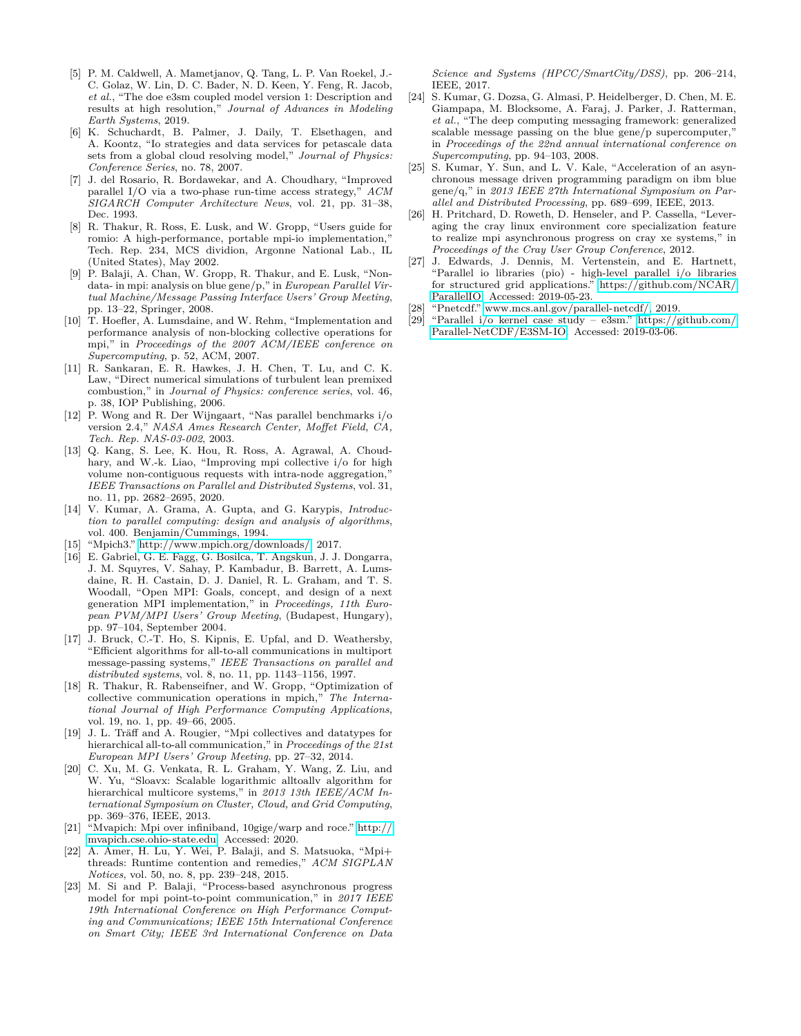- <span id="page-11-5"></span>[5] P. M. Caldwell, A. Mametjanov, Q. Tang, L. P. Van Roekel, J.- C. Golaz, W. Lin, D. C. Bader, N. D. Keen, Y. Feng, R. Jacob, *et al.*, "The doe e3sm coupled model version 1: Description and results at high resolution," *Journal of Advances in Modeling Earth Systems*, 2019.
- <span id="page-11-0"></span>[6] K. Schuchardt, B. Palmer, J. Daily, T. Elsethagen, and A. Koontz, "Io strategies and data services for petascale data sets from a global cloud resolving model," *Journal of Physics: Conference Series*, no. 78, 2007.
- <span id="page-11-1"></span>[7] J. del Rosario, R. Bordawekar, and A. Choudhary, "Improved parallel I/O via a two-phase run-time access strategy," *ACM SIGARCH Computer Architecture News*, vol. 21, pp. 31–38, Dec. 1993.
- <span id="page-11-2"></span>[8] R. Thakur, R. Ross, E. Lusk, and W. Gropp, "Users guide for romio: A high-performance, portable mpi-io implementation," Tech. Rep. 234, MCS dividion, Argonne National Lab., IL (United States), May 2002.
- <span id="page-11-3"></span>[9] P. Balaji, A. Chan, W. Gropp, R. Thakur, and E. Lusk, "Nondata- in mpi: analysis on blue gene/p," in *European Parallel Virtual Machine/Message Passing Interface Users' Group Meeting*, pp. 13–22, Springer, 2008.
- <span id="page-11-4"></span>[10] T. Hoefler, A. Lumsdaine, and W. Rehm, "Implementation and performance analysis of non-blocking collective operations for mpi," in *Proceedings of the 2007 ACM/IEEE conference on Supercomputing*, p. 52, ACM, 2007.
- <span id="page-11-6"></span>[11] R. Sankaran, E. R. Hawkes, J. H. Chen, T. Lu, and C. K. Law, "Direct numerical simulations of turbulent lean premixed combustion," in *Journal of Physics: conference series*, vol. 46, p. 38, IOP Publishing, 2006.
- <span id="page-11-7"></span>[12] P. Wong and R. Der Wijngaart, "Nas parallel benchmarks i/o version 2.4," *NASA Ames Research Center, Moffet Field, CA, Tech. Rep. NAS-03-002*, 2003.
- <span id="page-11-8"></span>[13] Q. Kang, S. Lee, K. Hou, R. Ross, A. Agrawal, A. Choudhary, and W.-k. Liao, "Improving mpi collective i/o for high volume non-contiguous requests with intra-node aggregation," *IEEE Transactions on Parallel and Distributed Systems*, vol. 31, no. 11, pp. 2682–2695, 2020.
- <span id="page-11-9"></span>[14] V. Kumar, A. Grama, A. Gupta, and G. Karypis, *Introduction to parallel computing: design and analysis of algorithms*, vol. 400. Benjamin/Cummings, 1994.
- <span id="page-11-10"></span>[15] "Mpich3." [http://www.mpich.org/downloads/,]( http://www.mpich.org/downloads/) 2017.
- <span id="page-11-11"></span>[16] E. Gabriel, G. E. Fagg, G. Bosilca, T. Angskun, J. J. Dongarra, J. M. Squyres, V. Sahay, P. Kambadur, B. Barrett, A. Lumsdaine, R. H. Castain, D. J. Daniel, R. L. Graham, and T. S. Woodall, "Open MPI: Goals, concept, and design of a next generation MPI implementation," in *Proceedings, 11th European PVM/MPI Users' Group Meeting*, (Budapest, Hungary), pp. 97–104, September 2004.
- <span id="page-11-12"></span>[17] J. Bruck, C.-T. Ho, S. Kipnis, E. Upfal, and D. Weathersby, "Efficient algorithms for all-to-all communications in multiport message-passing systems," *IEEE Transactions on parallel and distributed systems*, vol. 8, no. 11, pp. 1143–1156, 1997.
- <span id="page-11-13"></span>[18] R. Thakur, R. Rabenseifner, and W. Gropp, "Optimization of collective communication operations in mpich," *The International Journal of High Performance Computing Applications*, vol. 19, no. 1, pp. 49–66, 2005.
- <span id="page-11-14"></span>[19] J. L. Träff and A. Rougier, "Mpi collectives and datatypes for hierarchical all-to-all communication," in *Proceedings of the 21st European MPI Users' Group Meeting*, pp. 27–32, 2014.
- <span id="page-11-15"></span>[20] C. Xu, M. G. Venkata, R. L. Graham, Y. Wang, Z. Liu, and W. Yu, "Sloavx: Scalable logarithmic alltoallv algorithm for hierarchical multicore systems," in *2013 13th IEEE/ACM International Symposium on Cluster, Cloud, and Grid Computing*, pp. 369–376, IEEE, 2013.
- <span id="page-11-16"></span>[21] "Mvapich: Mpi over infiniband, 10gige/warp and roce." [http://](http://mvapich.cse.ohio-state.edu) [mvapich.cse.ohio-state.edu.](http://mvapich.cse.ohio-state.edu) Accessed: 2020.
- <span id="page-11-17"></span>[22] A. Amer, H. Lu, Y. Wei, P. Balaji, and S. Matsuoka, "Mpi+ threads: Runtime contention and remedies," *ACM SIGPLAN Notices*, vol. 50, no. 8, pp. 239–248, 2015.
- <span id="page-11-18"></span>[23] M. Si and P. Balaji, "Process-based asynchronous progress model for mpi point-to-point communication," in *2017 IEEE 19th International Conference on High Performance Computing and Communications; IEEE 15th International Conference on Smart City; IEEE 3rd International Conference on Data*

*Science and Systems (HPCC/SmartCity/DSS)*, pp. 206–214, IEEE, 2017.

- <span id="page-11-19"></span>[24] S. Kumar, G. Dozsa, G. Almasi, P. Heidelberger, D. Chen, M. E. Giampapa, M. Blocksome, A. Faraj, J. Parker, J. Ratterman, *et al.*, "The deep computing messaging framework: generalized scalable message passing on the blue gene/p supercomputer," in *Proceedings of the 22nd annual international conference on Supercomputing*, pp. 94–103, 2008.
- [25] S. Kumar, Y. Sun, and L. V. Kale, "Acceleration of an asynchronous message driven programming paradigm on ibm blue gene/q," in *2013 IEEE 27th International Symposium on Parallel and Distributed Processing*, pp. 689–699, IEEE, 2013.
- <span id="page-11-20"></span>[26] H. Pritchard, D. Roweth, D. Henseler, and P. Cassella, "Leveraging the cray linux environment core specialization feature to realize mpi asynchronous progress on cray xe systems," in *Proceedings of the Cray User Group Conference*, 2012.
- <span id="page-11-21"></span>[27] J. Edwards, J. Dennis, M. Vertenstein, and E. Hartnett, "Parallel io libraries (pio) - high-level parallel i/o libraries for structured grid applications." [https://github.com/NCAR/](https://github.com/NCAR/ParallelIO) [ParallelIO.](https://github.com/NCAR/ParallelIO) Accessed: 2019-05-23.
- <span id="page-11-22"></span>[28] "Pnetcdf." [www.mcs.anl.gov/parallel-netcdf/,](www.mcs.anl.gov/parallel-netcdf/) 2019.
- <span id="page-11-23"></span>[29] "Parallel i/o kernel case study – e3sm." [https://github.com/](https://github.com/Parallel-NetCDF/E3SM-IO) [Parallel-NetCDF/E3SM-IO.](https://github.com/Parallel-NetCDF/E3SM-IO) Accessed: 2019-03-06.